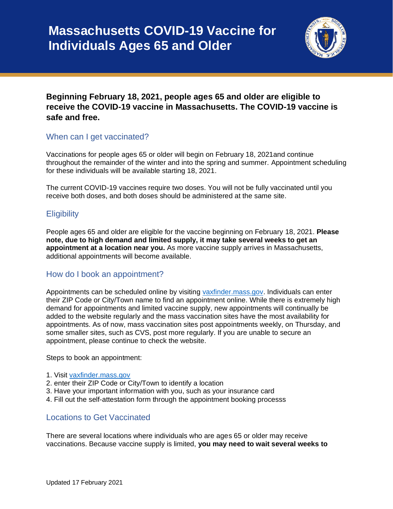

# **Beginning February 18, 2021, people ages 65 and older are eligible to receive the COVID-19 vaccine in Massachusetts. The COVID-19 vaccine is safe and free.**

## When can I get vaccinated?

Vaccinations for people ages 65 or older will begin on February 18, 2021and continue throughout the remainder of the winter and into the spring and summer. Appointment scheduling for these individuals will be available starting 18, 2021.

The current COVID-19 vaccines require two doses. You will not be fully vaccinated until you receive both doses, and both doses should be administered at the same site.

## **Eligibility**

People ages 65 and older are eligible for the vaccine beginning on February 18, 2021. **Please note, due to high demand and limited supply, it may take several weeks to get an appointment at a location near you.** As more vaccine supply arrives in Massachusetts, additional appointments will become available.

## How do I book an appointment?

Appointments can be scheduled online by visiting [vaxfinder.mass.gov.](file:///C:/Users/TMcNamara/AppData/Local/Microsoft/Windows/INetCache/Content.Outlook/10Z89PH9/vaxfinder.mass.gov) Individuals can enter their ZIP Code or City/Town name to find an appointment online. While there is extremely high demand for appointments and limited vaccine supply, new appointments will continually be added to the website regularly and the mass vaccination sites have the most availability for appointments. As of now, mass vaccination sites post appointments weekly, on Thursday, and some smaller sites, such as CVS, post more regularly. If you are unable to secure an appointment, please continue to check the website.

Steps to book an appointment:

- 1. Visit [vaxfinder.mass.gov](file:///C:/Users/TMcNamara/AppData/Local/Microsoft/Windows/INetCache/Content.Outlook/10Z89PH9/vaxfinder.mass.gov)
- 2. enter their ZIP Code or City/Town to identify a location
- 3. Have your important information with you, such as your insurance card
- 4. Fill out the self-attestation form through the appointment booking processs

#### Locations to Get Vaccinated

There are several locations where individuals who are ages 65 or older may receive vaccinations. Because vaccine supply is limited, **you may need to wait several weeks to**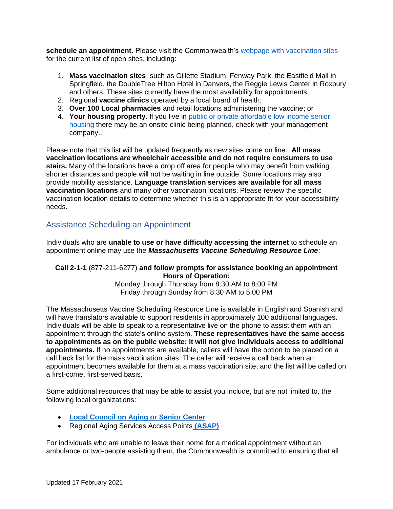**schedule an appointment.** Please visit the Commonwealth's [webpage with vaccination sites](https://www.mass.gov/info-details/covid-19-vaccine-locations-for-individuals-in-phase-1) for the current list of open sites, including:

- 1. **Mass vaccination sites**, such as Gillette Stadium, Fenway Park, the Eastfield Mall in Springfield, the DoubleTree Hilton Hotel in Danvers, the Reggie Lewis Center in Roxbury and others. These sites currently have the most availability for appointments;
- 2. Regional **vaccine clinics** operated by a local board of health;
- 3. **Over 100 Local pharmacies** and retail locations administering the vaccine; or
- 4. **Your housing property.** If you live in [public or private affordable low income senior](https://www.mass.gov/info-details/covid-19-vaccinations-for-senior-housing-settings)  [housing](https://www.mass.gov/info-details/covid-19-vaccinations-for-senior-housing-settings) there may be an onsite clinic being planned, check with your management company..

Please note that this list will be updated frequently as new sites come on line. **All mass vaccination locations are wheelchair accessible and do not require consumers to use stairs.** Many of the locations have a drop off area for people who may benefit from walking shorter distances and people will not be waiting in line outside. Some locations may also provide mobility assistance. **Language translation services are available for all mass vaccination locations** and many other vaccination locations. Please review the specific vaccination location details to determine whether this is an appropriate fit for your accessibility needs.

## Assistance Scheduling an Appointment

Individuals who are **unable to use or have difficulty accessing the internet** to schedule an appointment online may use the *Massachusetts Vaccine Scheduling Resource Line*:

#### **Call 2-1-1** (877-211-6277) **and follow prompts for assistance booking an appointment Hours of Operation:**

Monday through Thursday from 8:30 AM to 8:00 PM Friday through Sunday from 8:30 AM to 5:00 PM

The Massachusetts Vaccine Scheduling Resource Line is available in English and Spanish and will have translators available to support residents in approximately 100 additional languages. Individuals will be able to speak to a representative live on the phone to assist them with an appointment through the state's online system. **These representatives have the same access to appointments as on the public website; it will not give individuals access to additional appointments.** If no appointments are available, callers will have the option to be placed on a call back list for the mass vaccination sites. The caller will receive a call back when an appointment becomes available for them at a mass vaccination site, and the list will be called on a first-come, first-served basis.

Some additional resources that may be able to assist you include, but are not limited to, the following local organizations:

- **[Local Council on Aging or Senior Center](https://mcoaonline.com/what-is-a-coa/coa-directory/)**
- Regional Aging Services Access Points **[\(ASAP\)](https://www.mass.gov/location-details/aging-services-access-points-asaps-in-massachusetts)**

For individuals who are unable to leave their home for a medical appointment without an ambulance or two-people assisting them, the Commonwealth is committed to ensuring that all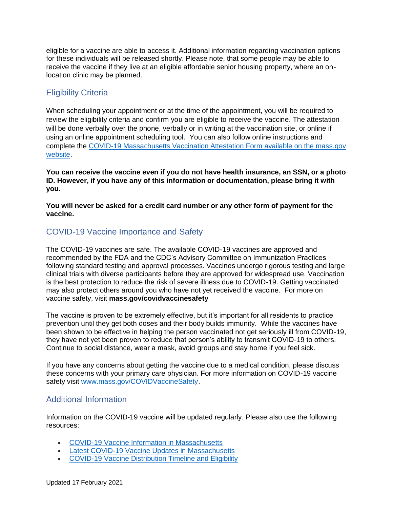eligible for a vaccine are able to access it. Additional information regarding vaccination options for these individuals will be released shortly. Please note, that some people may be able to receive the vaccine if they live at an eligible affordable senior housing property, where an onlocation clinic may be planned.

# Eligibility Criteria

When scheduling your appointment or at the time of the appointment, you will be required to review the eligibility criteria and confirm you are eligible to receive the vaccine. The attestation will be done verbally over the phone, verbally or in writing at the vaccination site, or online if using an online appointment scheduling tool. You can also follow online instructions and complete the [COVID-19 Massachusetts Vaccination Attestation Form](https://www.mass.gov/forms/covid-19-massachusetts-vaccination-attestation-form) available on the mass.gov website.

**You can receive the vaccine even if you do not have health insurance, an SSN, or a photo ID. However, if you have any of this information or documentation, please bring it with you.**

**You will never be asked for a credit card number or any other form of payment for the vaccine.**

## COVID-19 Vaccine Importance and Safety

The COVID-19 vaccines are safe. The available COVID-19 vaccines are approved and recommended by the FDA and the CDC's Advisory Committee on Immunization Practices following standard testing and approval processes. Vaccines undergo rigorous testing and large clinical trials with diverse participants before they are approved for widespread use. Vaccination is the best protection to reduce the risk of severe illness due to COVID-19. Getting vaccinated may also protect others around you who have not yet received the vaccine. For more on vaccine safety, visit **mass.gov/covidvaccinesafety** 

The vaccine is proven to be extremely effective, but it's important for all residents to practice prevention until they get both doses and their body builds immunity. While the vaccines have been shown to be effective in helping the person vaccinated not get seriously ill from COVID-19, they have not yet been proven to reduce that person's ability to transmit COVID-19 to others. Continue to social distance, wear a mask, avoid groups and stay home if you feel sick.

If you have any concerns about getting the vaccine due to a medical condition, please discuss these concerns with your primary care physician. For more information on COVID-19 vaccine safety visit [www.mass.gov/COVIDVaccineSafety.](http://www.mass.gov/COVIDVaccineSafety)

## Additional Information

Information on the COVID-19 vaccine will be updated regularly. Please also use the following resources:

- [COVID-19 Vaccine Information in Massachusetts](https://www.mass.gov/info-details/massachusetts-covid-19-vaccine-information)
- [Latest COVID-19 Vaccine Updates in Massachusetts](https://www.mass.gov/info-details/covid-19-vaccination-program)
- [COVID-19 Vaccine Distribution Timeline and Eligibility](https://www.mass.gov/info-details/when-can-i-get-the-covid-19-vaccine)